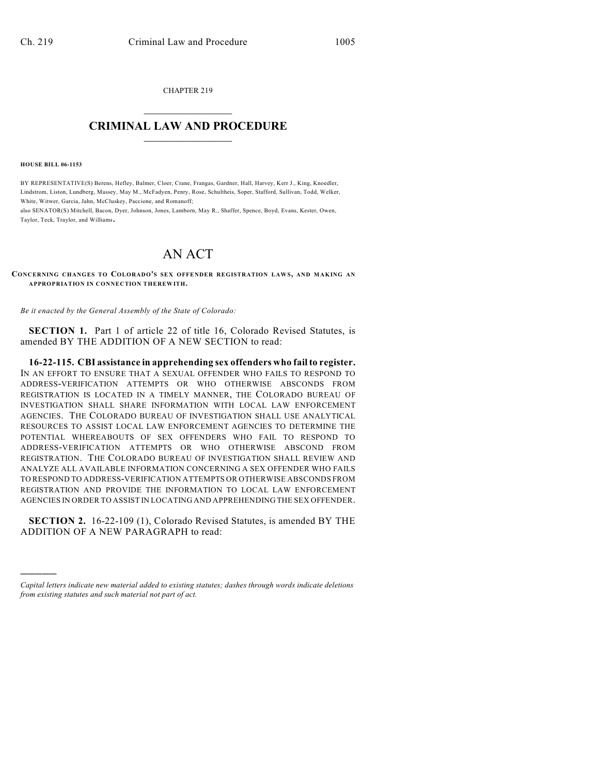CHAPTER 219  $\overline{\phantom{a}}$  . The set of the set of the set of the set of the set of the set of the set of the set of the set of the set of the set of the set of the set of the set of the set of the set of the set of the set of the set o

## **CRIMINAL LAW AND PROCEDURE**  $\frac{1}{2}$  ,  $\frac{1}{2}$  ,  $\frac{1}{2}$  ,  $\frac{1}{2}$  ,  $\frac{1}{2}$  ,  $\frac{1}{2}$  ,  $\frac{1}{2}$

**HOUSE BILL 06-1153**

)))))

BY REPRESENTATIVE(S) Berens, Hefley, Balmer, Cloer, Crane, Frangas, Gardner, Hall, Harvey, Kerr J., King, Knoedler, Lindstrom, Liston, Lundberg, Massey, May M., McFadyen, Penry, Rose, Schultheis, Soper, Stafford, Sullivan, Todd, Welker, White, Witwer, Garcia, Jahn, McCluskey, Paccione, and Romanoff;

also SENATOR(S) Mitchell, Bacon, Dyer, Johnson, Jones, Lamborn, May R., Shaffer, Spence, Boyd, Evans, Kester, Owen, Taylor, Teck, Traylor, and Williams.

## AN ACT

**CONCERNING CHANGES TO COLORADO'S SEX OFFENDER REGISTRATION LAW S, AND MAKING AN APPROPRIATION IN CONNECTION THEREWITH.**

*Be it enacted by the General Assembly of the State of Colorado:*

**SECTION 1.** Part 1 of article 22 of title 16, Colorado Revised Statutes, is amended BY THE ADDITION OF A NEW SECTION to read:

**16-22-115. CBI assistance in apprehending sex offenders who fail to register.** IN AN EFFORT TO ENSURE THAT A SEXUAL OFFENDER WHO FAILS TO RESPOND TO ADDRESS-VERIFICATION ATTEMPTS OR WHO OTHERWISE ABSCONDS FROM REGISTRATION IS LOCATED IN A TIMELY MANNER, THE COLORADO BUREAU OF INVESTIGATION SHALL SHARE INFORMATION WITH LOCAL LAW ENFORCEMENT AGENCIES. THE COLORADO BUREAU OF INVESTIGATION SHALL USE ANALYTICAL RESOURCES TO ASSIST LOCAL LAW ENFORCEMENT AGENCIES TO DETERMINE THE POTENTIAL WHEREABOUTS OF SEX OFFENDERS WHO FAIL TO RESPOND TO ADDRESS-VERIFICATION ATTEMPTS OR WHO OTHERWISE ABSCOND FROM REGISTRATION. THE COLORADO BUREAU OF INVESTIGATION SHALL REVIEW AND ANALYZE ALL AVAILABLE INFORMATION CONCERNING A SEX OFFENDER WHO FAILS TO RESPOND TO ADDRESS-VERIFICATION ATTEMPTS OR OTHERWISE ABSCONDS FROM REGISTRATION AND PROVIDE THE INFORMATION TO LOCAL LAW ENFORCEMENT AGENCIES IN ORDER TO ASSIST IN LOCATING AND APPREHENDING THE SEX OFFENDER.

**SECTION 2.** 16-22-109 (1), Colorado Revised Statutes, is amended BY THE ADDITION OF A NEW PARAGRAPH to read:

*Capital letters indicate new material added to existing statutes; dashes through words indicate deletions from existing statutes and such material not part of act.*